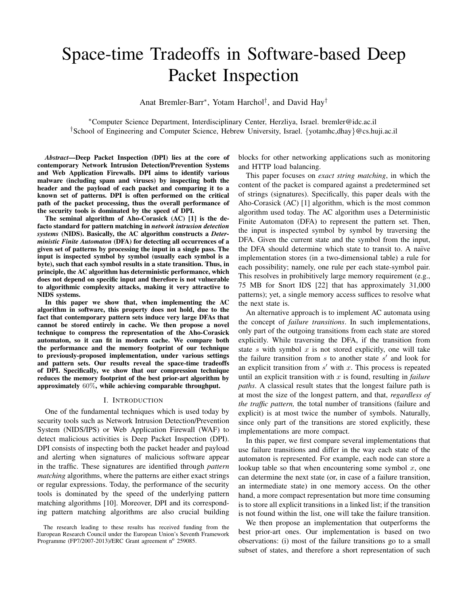# Space-time Tradeoffs in Software-based Deep Packet Inspection

Anat Bremler-Barr<sup>∗</sup> , Yotam Harchol† , and David Hay†

<sup>∗</sup>Computer Science Department, Interdisciplinary Center, Herzliya, Israel. bremler@idc.ac.il †School of Engineering and Computer Science, Hebrew University, Israel. {yotamhc,dhay}@cs.huji.ac.il

*Abstract*—Deep Packet Inspection (DPI) lies at the core of contemporary Network Intrusion Detection/Prevention Systems and Web Application Firewalls. DPI aims to identify various malware (including spam and viruses) by inspecting both the header and the payload of each packet and comparing it to a known set of patterns. DPI is often performed on the critical path of the packet processing, thus the overall performance of the security tools is dominated by the speed of DPI.

The seminal algorithm of Aho-Corasick (AC) [1] is the defacto standard for pattern matching in *network intrusion detection systems* (NIDS). Basically, the AC algorithm constructs a *Deterministic Finite Automaton* (DFA) for detecting all occurrences of a given set of patterns by processing the input in a single pass. The input is inspected symbol by symbol (usually each symbol is a byte), such that each symbol results in a state transition. Thus, in principle, the AC algorithm has deterministic performance, which does not depend on specific input and therefore is not vulnerable to algorithmic complexity attacks, making it very attractive to NIDS systems.

In this paper we show that, when implementing the AC algorithm in software, this property does not hold, due to the fact that contemporary pattern sets induce very large DFAs that cannot be stored entirely in cache. We then propose a novel technique to compress the representation of the Aho-Corasick automaton, so it can fit in modern cache. We compare both the performance and the memory footprint of our technique to previously-proposed implementation, under various settings and pattern sets. Our results reveal the space-time tradeoffs of DPI. Specifically, we show that our compression technique reduces the memory footprint of the best prior-art algorithm by approximately 60%, while achieving comparable throughput.

#### I. INTRODUCTION

One of the fundamental techniques which is used today by security tools such as Network Intrusion Detection/Prevention System (NIDS/IPS) or Web Application Firewall (WAF) to detect malicious activities is Deep Packet Inspection (DPI). DPI consists of inspecting both the packet header and payload and alerting when signatures of malicious software appear in the traffic. These signatures are identified through *pattern matching* algorithms, where the patterns are either exact strings or regular expressions. Today, the performance of the security tools is dominated by the speed of the underlying pattern matching algorithms [10]. Moreover, DPI and its corresponding pattern matching algorithms are also crucial building blocks for other networking applications such as monitoring and HTTP load balancing.

This paper focuses on *exact string matching*, in which the content of the packet is compared against a predetermined set of strings (signatures). Specifically, this paper deals with the Aho-Corasick (AC) [1] algorithm, which is the most common algorithm used today. The AC algorithm uses a Deterministic Finite Automaton (DFA) to represent the pattern set. Then, the input is inspected symbol by symbol by traversing the DFA. Given the current state and the symbol from the input, the DFA should determine which state to transit to. A naïve implementation stores (in a two-dimensional table) a rule for each possibility; namely, one rule per each state-symbol pair. This resolves in prohibitively large memory requirement (e.g., 75 MB for Snort IDS [22] that has approximately 31,000 patterns); yet, a single memory access suffices to resolve what the next state is.

An alternative approach is to implement AC automata using the concept of *failure transitions*. In such implementations, only part of the outgoing transitions from each state are stored explicitly. While traversing the DFA, if the transition from state  $s$  with symbol  $x$  is not stored explicitly, one will take the failure transition from  $s$  to another state  $s'$  and look for an explicit transition from  $s'$  with  $x$ . This process is repeated until an explicit transition with x is found, resulting in *failure paths*. A classical result states that the longest failure path is at most the size of the longest pattern, and that, *regardless of the traffic pattern,* the total number of transitions (failure and explicit) is at most twice the number of symbols. Naturally, since only part of the transitions are stored explicitly, these implementations are more compact.

In this paper, we first compare several implementations that use failure transitions and differ in the way each state of the automaton is represented. For example, each node can store a lookup table so that when encountering some symbol  $x$ , one can determine the next state (or, in case of a failure transition, an intermediate state) in one memory access. On the other hand, a more compact representation but more time consuming is to store all explicit transitions in a linked list; if the transition is not found within the list, one will take the failure transition.

We then propose an implementation that outperforms the best prior-art ones. Our implementation is based on two observations: (i) most of the failure transitions go to a small subset of states, and therefore a short representation of such

The research leading to these results has received funding from the European Research Council under the European Union's Seventh Framework Programme (FP7/2007-2013)/ERC Grant agreement nº 259085.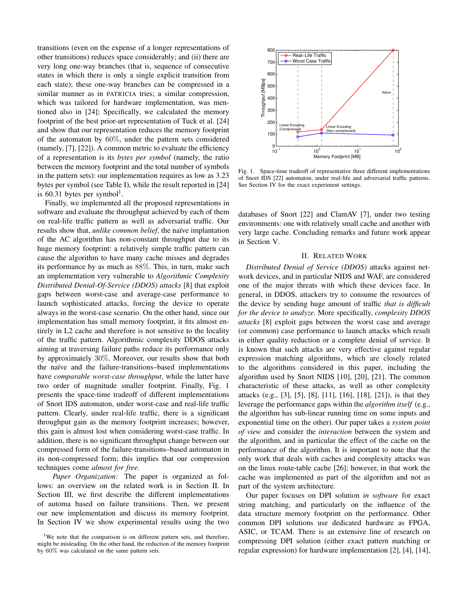transitions (even on the expense of a longer representations of other transitions) reduces space considerably; and (ii) there are very long one-way branches (that is, sequence of consecutive states in which there is only a single explicit transition from each state); these one-way branches can be compressed in a similar manner as in PATRICIA tries; a similar compression, which was tailored for hardware implementation, was mentioned also in [24]; Specifically, we calculated the memory footprint of the best prior-art representation of Tuck et al. [24] and show that our representation reduces the memory footprint of the automaton by 60%, under the pattern sets considered (namely, [7], [22]). A common metric to evaluate the efficiency of a representation is its *bytes per symbol* (namely, the ratio between the memory footprint and the total number of symbols in the pattern sets): our implementation requires as low as 3.23 bytes per symbol (see Table I), while the result reported in [24] is 60.31 bytes per symbol<sup>1</sup>.

Finally, we implemented all the proposed representations in software and evaluate the throughput achieved by each of them on real-life traffic pattern as well as adversarial traffic. Our results show that, *unlike common belief*, the naïve implantation of the AC algorithm has non-constant throughput due to its huge memory footprint: a relatively simple traffic pattern can cause the algorithm to have many cache misses and degrades its performance by as much as 88%. This, in turn, make such an implementation very vulnerable to *Algorithmic Complexity Distributed Denial-Of-Service (DDOS) attacks* [8] that exploit gaps between worst-case and average-case performance to launch sophisticated attacks, forcing the device to operate always in the worst-case scenario. On the other hand, since our implementation has small memory footprint, it fits almost entirely in L2 cache and therefore is not sensitive to the locality of the traffic pattern. Algorithmic complexity DDOS attacks aiming at traversing failure paths reduce its performance only by approximately 30%. Moreover, our results show that both the naïve and the failure-transitions–based implementations have *comparable worst-case throughput*, while the latter have two order of magnitude smaller footprint. Finally, Fig. 1 presents the space-time tradeoff of different implementations of Snort IDS automaton, under worst-case and real-life traffic pattern. Clearly, under real-life traffic, there is a significant throughput gain as the memory footprint increases; however, this gain is almost lost when considering worst-case traffic. In addition, there is no significant throughput change between our compressed form of the failure-transitions–based automaton in its non-compressed form; this implies that our compression techniques come *almost for free*.

*Paper Organization:* The paper is organized as follows: an overview on the related work is in Section II. In Section III, we first describe the different implementations of automa based on failure transitions. Then, we present our new implementation and discuss its memory footprint. In Section IV we show experimental results using the two



Fig. 1. Space-time tradeoff of representative three different implementations of Snort IDS [22] automaton, under real-life and adversarial traffic patterns. See Section IV for the exact experiment settings.

databases of Snort [22] and ClamAV [7], under two testing environments: one with relatively small cache and another with very large cache. Concluding remarks and future work appear in Section V.

#### II. RELATED WORK

*Distributed Denial of Service (DDOS)* attacks against network devices, and in particular NIDS and WAF, are considered one of the major threats with which these devices face. In general, in DDOS, attackers try to consume the resources of the device by sending huge amount of traffic *that is difficult for the device to analyze.* More specifically, *complexity DDOS attacks* [8] exploit gaps between the worst case and average (or common) case performance to launch attacks which result in either quality reduction or a complete denial of service. It is known that such attacks are very effective against regular expression matching algorithms, which are closely related to the algorithms considered in this paper, including the algorithm used by Snort NIDS [10], [20], [21]. The common characteristic of these attacks, as well as other complexity attacks (e.g., [3], [5], [8], [11], [16], [18], [21]), is that they leverage the performance gaps within the *algorithm itself* (e.g., the algorithm has sub-linear running time on some inputs and exponential time on the other). Our paper takes a *system point of view* and consider the *interaction* between the system and the algorithm, and in particular the effect of the cache on the performance of the algorithm. It is important to note that the only work that deals with caches and complexity attacks was on the linux route-table cache [26]; however, in that work the cache was implemented as part of the algorithm and not as part of the system architecture.

Our paper focuses on DPI solution *in software* for exact string matching, and particularly on the influence of the data structure memory footprint on the performance. Other common DPI solutions use dedicated hardware as FPGA, ASIC, or TCAM. There is an extensive line of research on compressing DPI solution (either exact pattern matching or regular expression) for hardware implementation [2], [4], [14],

<sup>&</sup>lt;sup>1</sup>We note that the comparison is on different pattern sets, and therefore, might be misleading. On the other hand, the reduction of the memory footprint by 60% was calculated on the same pattern sets.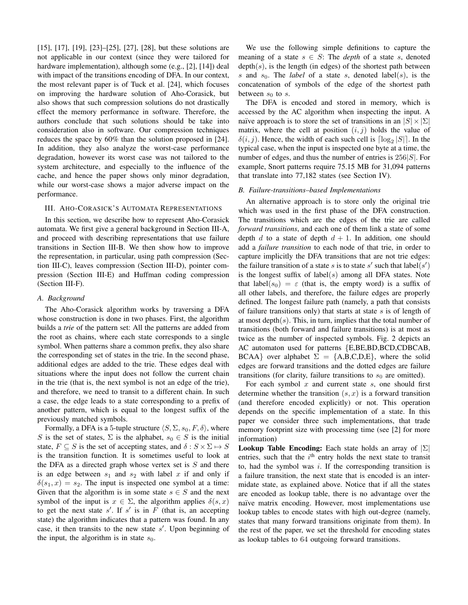[15], [17], [19], [23]–[25], [27], [28], but these solutions are not applicable in our context (since they were tailored for hardware implementation), although some (e.g., [2], [14]) deal with impact of the transitions encoding of DFA. In our context, the most relevant paper is of Tuck et al. [24], which focuses on improving the hardware solution of Aho-Corasick, but also shows that such compression solutions do not drastically effect the memory performance in software. Therefore, the authors conclude that such solutions should be take into consideration also in software. Our compression techniques reduces the space by 60% than the solution proposed in [24]. In addition, they also analyze the worst-case performance degradation, however its worst case was not tailored to the system architecture, and especially to the influence of the cache, and hence the paper shows only minor degradation, while our worst-case shows a major adverse impact on the performance.

# III. AHO-CORASICK'S AUTOMATA REPRESENTATIONS

In this section, we describe how to represent Aho-Corasick automata. We first give a general background in Section III-A, and proceed with describing representations that use failure transitions in Section III-B. We then show how to improve the representation, in particular, using path compression (Section III-C), leaves compression (Section III-D), pointer compression (Section III-E) and Huffman coding compression (Section III-F).

#### *A. Background*

The Aho-Corasick algorithm works by traversing a DFA whose construction is done in two phases. First, the algorithm builds a *trie* of the pattern set: All the patterns are added from the root as chains, where each state corresponds to a single symbol. When patterns share a common prefix, they also share the corresponding set of states in the trie. In the second phase, additional edges are added to the trie. These edges deal with situations where the input does not follow the current chain in the trie (that is, the next symbol is not an edge of the trie), and therefore, we need to transit to a different chain. In such a case, the edge leads to a state corresponding to a prefix of another pattern, which is equal to the longest suffix of the previously matched symbols.

Formally, a DFA is a 5-tuple structure  $\langle S, \Sigma, s_0, F, \delta \rangle$ , where S is the set of states,  $\Sigma$  is the alphabet,  $s_0 \in S$  is the initial state,  $F \subseteq S$  is the set of accepting states, and  $\delta : S \times \Sigma \mapsto S$ is the transition function. It is sometimes useful to look at the DFA as a directed graph whose vertex set is  $S$  and there is an edge between  $s_1$  and  $s_2$  with label x if and only if  $\delta(s_1, x) = s_2$ . The input is inspected one symbol at a time: Given that the algorithm is in some state  $s \in S$  and the next symbol of the input is  $x \in \Sigma$ , the algorithm applies  $\delta(s, x)$ to get the next state  $s'$ . If  $s'$  is in F (that is, an accepting state) the algorithm indicates that a pattern was found. In any case, it then transits to the new state  $s'$ . Upon beginning of the input, the algorithm is in state  $s_0$ .

We use the following simple definitions to capture the meaning of a state  $s \in S$ : The *depth* of a state s, denoted  $depth(s)$ , is the length (in edges) of the shortest path between s and  $s_0$ . The *label* of a state s, denoted label(s), is the concatenation of symbols of the edge of the shortest path between  $s_0$  to s.

The DFA is encoded and stored in memory, which is accessed by the AC algorithm when inspecting the input. A naïve approach is to store the set of transitions in an  $|S| \times |\Sigma|$ matrix, where the cell at position  $(i, j)$  holds the value of  $\delta(i, j)$ . Hence, the width of each such cell is  $\lceil \log_2 |S| \rceil$ . In the typical case, when the input is inspected one byte at a time, the number of edges, and thus the number of entries is  $256|S|$ . For example, Snort patterns require 75.15 MB for 31,094 patterns that translate into 77,182 states (see Section IV).

# *B. Failure-transitions–based Implementations*

An alternative approach is to store only the original trie which was used in the first phase of the DFA construction. The transitions which are the edges of the trie are called *forward transitions*, and each one of them link a state of some depth d to a state of depth  $d + 1$ . In addition, one should add a *failure transition* to each node of that trie, in order to capture implicitly the DFA transitions that are not trie edges: the failure transition of a state s is to state s' such that  $\text{label}(s')$ is the longest suffix of label( $s$ ) among all DFA states. Note that label( $s_0$ ) =  $\varepsilon$  (that is, the empty word) is a suffix of all other labels, and therefore, the failure edges are properly defined. The longest failure path (namely, a path that consists of failure transitions only) that starts at state  $s$  is of length of at most depth $(s)$ . This, in turn, implies that the total number of transitions (both forward and failure transitions) is at most as twice as the number of inspected symbols. Fig. 2 depicts an AC automaton used for patterns {E,BE,BD,BCD,CDBCAB, BCAA} over alphabet  $\Sigma = \{A, B, C, D, E\}$ , where the solid edges are forward transitions and the dotted edges are failure transitions (for clarity, failure transitions to  $s_0$  are omitted).

For each symbol  $x$  and current state  $s$ , one should first determine whether the transition  $(s, x)$  is a forward transition (and therefore encoded explicitly) or not. This operation depends on the specific implementation of a state. In this paper we consider three such implementations, that trade memory footprint size with processing time (see [2] for more information)

**Lookup Table Encoding:** Each state holds an array of  $|\Sigma|$ entries, such that the  $i<sup>th</sup>$  entry holds the next state to transit to, had the symbol was  $i$ . If the corresponding transition is a failure transition, the next state that is encoded is an intermidate state, as explained above. Notice that if all the states are encoded as lookup table, there is no advantage over the naïve matrix encoding. However, most implementations use lookup tables to encode states with high out-degree (namely, states that many forward transitions originate from them). In the rest of the paper, we set the threshold for encoding states as lookup tables to 64 outgoing forward transitions.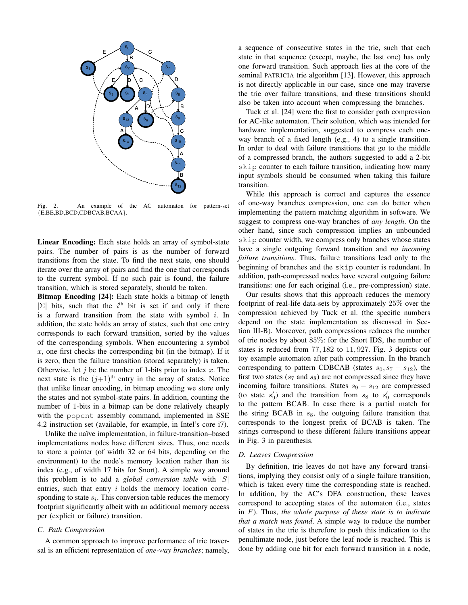

Fig. 2. An example of the AC automaton for pattern-set {E,BE,BD,BCD,CDBCAB,BCAA}.

Linear Encoding: Each state holds an array of symbol-state pairs. The number of pairs is as the number of forward transitions from the state. To find the next state, one should iterate over the array of pairs and find the one that corresponds to the current symbol. If no such pair is found, the failure transition, which is stored separately, should be taken.

Bitmap Encoding [24]: Each state holds a bitmap of length  $|\Sigma|$  bits, such that the i<sup>th</sup> bit is set if and only if there is a forward transition from the state with symbol  $i$ . In addition, the state holds an array of states, such that one entry corresponds to each forward transition, sorted by the values of the corresponding symbols. When encountering a symbol  $x$ , one first checks the corresponding bit (in the bitmap). If it is zero, then the failure transition (stored separately) is taken. Otherwise, let  $j$  be the number of 1-bits prior to index  $x$ . The next state is the  $(j+1)$ <sup>th</sup> entry in the array of states. Notice that unlike linear encoding, in bitmap encoding we store only the states and not symbol-state pairs. In addition, counting the number of 1-bits in a bitmap can be done relatively cheaply with the popcnt assembly command, implemented in SSE 4.2 instruction set (available, for example, in Intel's core i7).

Unlike the naïve implementation, in failure-transition–based implementations nodes have different sizes. Thus, one needs to store a pointer (of width 32 or 64 bits, depending on the environment) to the node's memory location rather than its index (e.g., of width 17 bits for Snort). A simple way around this problem is to add a *global conversion table* with |S| entries, such that entry  $i$  holds the memory location corresponding to state  $s_i$ . This conversion table reduces the memory footprint significantly albeit with an additional memory access per (explicit or failure) transition.

#### *C. Path Compression*

A common approach to improve performance of trie traversal is an efficient representation of *one-way branches*; namely, a sequence of consecutive states in the trie, such that each state in that sequence (except, maybe, the last one) has only one forward transition. Such approach lies at the core of the seminal PATRICIA trie algorithm [13]. However, this approach is not directly applicable in our case, since one may traverse the trie over failure transitions, and these transitions should also be taken into account when compressing the branches.

Tuck et al. [24] were the first to consider path compression for AC-like automaton. Their solution, which was intended for hardware implementation, suggested to compress each oneway branch of a fixed length (e.g., 4) to a single transition. In order to deal with failure transitions that go to the middle of a compressed branch, the authors suggested to add a 2-bit skip counter to each failure transition, indicating how many input symbols should be consumed when taking this failure transition.

While this approach is correct and captures the essence of one-way branches compression, one can do better when implementing the pattern matching algorithm in software. We suggest to compress one-way branches of *any length*. On the other hand, since such compression implies an unbounded skip counter width, we compress only branches whose states have a single outgoing forward transition and *no incoming failure transitions*. Thus, failure transitions lead only to the beginning of branches and the skip counter is redundant. In addition, path-compressed nodes have several outgoing failure transitions: one for each original (i.e., pre-compression) state.

Our results shows that this approach reduces the memory footprint of real-life data-sets by approximately 25% over the compression achieved by Tuck et al. (the specific numbers depend on the state implementation as discussed in Section III-B). Moreover, path compressions reduces the number of trie nodes by about 85%: for the Snort IDS, the number of states is reduced from 77, 182 to 11, 927. Fig. 3 depicts our toy example automaton after path compression. In the branch corresponding to pattern CDBCAB (states  $s_0, s_7 - s_{12}$ ), the first two states ( $s<sub>7</sub>$  and  $s<sub>8</sub>$ ) are not compressed since they have incoming failure transitions. States  $s_9 - s_{12}$  are compressed (to state  $s'_9$ ) and the transition from  $s_8$  to  $s'_9$  corresponds to the pattern BCAB. In case there is a partial match for the string BCAB in  $s_8$ , the outgoing failure transition that corresponds to the longest prefix of BCAB is taken. The strings correspond to these different failure transitions appear in Fig. 3 in parenthesis.

#### *D. Leaves Compression*

By definition, trie leaves do not have any forward transitions, implying they consist only of a single failure transition, which is taken every time the corresponding state is reached. In addition, by the AC's DFA construction, these leaves correspond to accepting states of the automaton (i.e., states in F). Thus, *the whole purpose of these state is to indicate that a match was found*. A simple way to reduce the number of states in the trie is therefore to push this indication to the penultimate node, just before the leaf node is reached. This is done by adding one bit for each forward transition in a node,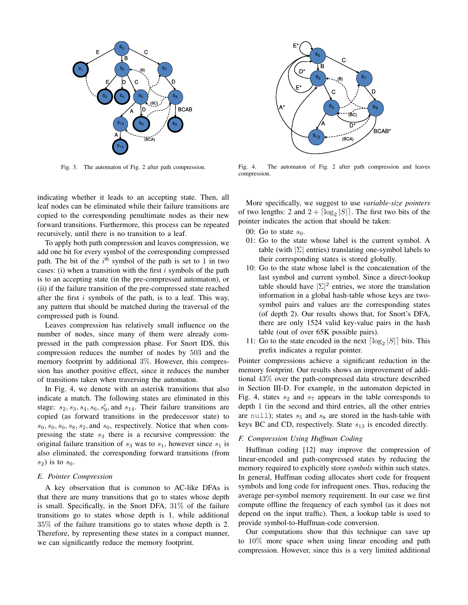

Fig. 3. The automaton of Fig. 2 after path compression.

indicating whether it leads to an accepting state. Then, all leaf nodes can be eliminated while their failure transitions are copied to the corresponding penultimate nodes as their new forward transitions. Furthermore, this process can be repeated recursively, until there is no transition to a leaf.

To apply both path compression and leaves compression, we add one bit for every symbol of the corresponding compressed path. The bit of the  $i<sup>th</sup>$  symbol of the path is set to 1 in two cases: (i) when a transition with the first  $i$  symbols of the path is to an accepting state (in the pre-compressed automaton), or (ii) if the failure transition of the pre-compressed state reached after the first  $i$  symbols of the path, is to a leaf. This way, any pattern that should be matched during the traversal of the compressed path is found.

Leaves compression has relatively small influence on the number of nodes, since many of them were already compressed in the path compression phase. For Snort IDS, this compression reduces the number of nodes by 503 and the memory footprint by additional 3%. However, this compression has another positive effect, since it reduces the number of transitions taken when traversing the automaton.

In Fig. 4, we denote with an asterisk transitions that also indicate a match. The following states are eliminated in this stage:  $s_2$ ,  $s_3$ ,  $s_4$ ,  $s_6$ ,  $s'_9$ , and  $s_{14}$ . Their failure transitions are copied (as forward transitions in the predecessor state) to  $s_0, s_0, s_0, s_8, s_2$ , and  $s_0$ , respectively. Notice that when compressing the state  $s_3$  there is a recursive compression: the original failure transition of  $s_3$  was to  $s_1$ , however since  $s_1$  is also eliminated, the corresponding forward transitions (from  $s_2$ ) is to  $s_0$ .

# *E. Pointer Compression*

A key observation that is common to AC-like DFAs is that there are many transitions that go to states whose depth is small. Specifically, in the Snort DFA, 31% of the failure transitions go to states whose depth is 1, while additional 35% of the failure transitions go to states whose depth is 2. Therefore, by representing these states in a compact manner, we can significantly reduce the memory footprint.



Fig. 4. The automaton of Fig. 2 after path compression and leaves compression.

More specifically, we suggest to use *variable-size pointers* of two lengths: 2 and  $2 + \lceil \log_2 |S| \rceil$ . The first two bits of the pointer indicates the action that should be taken:

- 00: Go to state  $s_0$ .
- 01: Go to the state whose label is the current symbol. A table (with  $|\Sigma|$  entries) translating one-symbol labels to their corresponding states is stored globally.
- 10: Go to the state whose label is the concatenation of the last symbol and current symbol. Since a direct-lookup table should have  $|\Sigma|^2$  entries, we store the translation information in a global hash-table whose keys are twosymbol pairs and values are the corresponding states (of depth 2). Our results shows that, for Snort's DFA, there are only 1524 valid key-value pairs in the hash table (out of over 65K possible pairs).
- 11: Go to the state encoded in the next  $\lceil \log_2 |S| \rceil$  bits. This prefix indicates a regular pointer.

Pointer compressions achieve a significant reduction in the memory footprint. Our results shows an improvement of additional 43% over the path-compressed data structure described in Section III-D. For example, in the automaton depicted in Fig. 4, states  $s_2$  and  $s_7$  appears in the table corresponds to depth 1 (in the second and third entries, all the other entries are null); states  $s_5$  and  $s_8$  are stored in the hash-table with keys BC and CD, respectively. State  $s_{13}$  is encoded directly.

# *F. Compression Using Huffman Coding*

Huffman coding [12] may improve the compression of linear-encoded and path-compressed states by reducing the memory required to explicitly store *symbols* within such states. In general, Huffman coding allocates short code for frequent symbols and long code for infrequent ones. Thus, reducing the average per-symbol memory requirement. In our case we first compute offline the frequency of each symbol (as it does not depend on the input traffic). Then, a lookup table is used to provide symbol-to-Huffman-code conversion.

Our computations show that this technique can save up to 10% more space when using linear encoding and path compression. However, since this is a very limited additional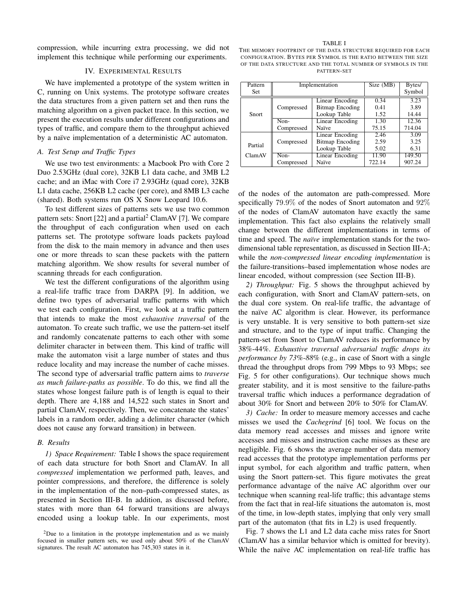compression, while incurring extra processing, we did not implement this technique while performing our experiments.

# IV. EXPERIMENTAL RESULTS

We have implemented a prototype of the system written in C, running on Unix systems. The prototype software creates the data structures from a given pattern set and then runs the matching algorithm on a given packet trace. In this section, we present the execution results under different configurations and types of traffic, and compare them to the throughput achieved by a naïve implementation of a deterministic AC automaton.

#### *A. Test Setup and Traffic Types*

We use two test environments: a Macbook Pro with Core 2 Duo 2.53GHz (dual core), 32KB L1 data cache, and 3MB L2 cache; and an iMac with Core i7 2.93GHz (quad core), 32KB L1 data cache, 256KB L2 cache (per core), and 8MB L3 cache (shared). Both systems run OS X Snow Leopard 10.6.

To test different sizes of patterns sets we use two common pattern sets: Snort [22] and a partial<sup>2</sup> ClamAV [7]. We compare the throughput of each configuration when used on each patterns set. The prototype software loads packets payload from the disk to the main memory in advance and then uses one or more threads to scan these packets with the pattern matching algorithm. We show results for several number of scanning threads for each configuration.

We test the different configurations of the algorithm using a real-life traffic trace from DARPA [9]. In addition, we define two types of adversarial traffic patterns with which we test each configuration. First, we look at a traffic pattern that intends to make the most *exhaustive traversal* of the automaton. To create such traffic, we use the pattern-set itself and randomly concatenate patterns to each other with some delimiter character in between them. This kind of traffic will make the automaton visit a large number of states and thus reduce locality and may increase the number of cache misses. The second type of adversarial traffic pattern aims to *traverse as much failure-paths as possible*. To do this, we find all the states whose longest failure path is of length is equal to their depth. There are 4,188 and 14,522 such states in Snort and partial ClamAV, respectively. Then, we concatenate the states' labels in a random order, adding a delimiter character (which does not cause any forward transition) in between.

#### *B. Results*

*1) Space Requirement:* Table I shows the space requirement of each data structure for both Snort and ClamAV. In all *compressed* implementation we performed path, leaves, and pointer compressions, and therefore, the difference is solely in the implementation of the non–path-compressed states, as presented in Section III-B. In addition, as discussed before, states with more than 64 forward transitions are always encoded using a lookup table. In our experiments, most

THE MEMORY FOOTPRINT OF THE DATA STRUCTURE REQUIRED FOR EACH CONFIGURATION. BYTES PER SYMBOL IS THE RATIO BETWEEN THE SIZE OF THE DATA STRUCTURE AND THE TOTAL NUMBER OF SYMBOLS IN THE PATTERN-SET

TABLE I

| Pattern | Implementation |                        | Size (MB) | Bytes/ |
|---------|----------------|------------------------|-----------|--------|
| Set     |                |                        |           | Symbol |
| Snort   | Compressed     | Linear Encoding        | 0.34      | 3.23   |
|         |                | <b>Bitmap Encoding</b> | 0.41      | 3.89   |
|         |                | Lookup Table           | 1.52      | 14.44  |
|         | Non-           | Linear Encoding        | 1.30      | 12.36  |
|         | Compressed     | Naïve                  | 75.15     | 714.04 |
|         |                | Linear Encoding        | 2.46      | 3.09   |
| Partial | Compressed     | <b>Bitmap Encoding</b> | 2.59      | 3.25   |
|         |                | Lookup Table           | 5.02      | 6.31   |
| ClamAV  | $Non-$         | <b>Linear Encoding</b> | 11.90     | 149.50 |
|         | Compressed     | Naïve                  | 722.14    | 907.24 |

of the nodes of the automaton are path-compressed. More specifically 79.9% of the nodes of Snort automaton and 92% of the nodes of ClamAV automaton have exactly the same implementation. This fact also explains the relatively small change between the different implementations in terms of time and speed. The *naïve* implementation stands for the twodimensional table representation, as discussed in Section III-A; while the *non-compressed linear encoding implementation* is the failure-transitions–based implementation whose nodes are linear encoded, without compression (see Section III-B).

*2) Throughput:* Fig. 5 shows the throughput achieved by each configuration, with Snort and ClamAV pattern-sets, on the dual core system. On real-life traffic, the advantage of the naïve AC algorithm is clear. However, its performance is very unstable. It is very sensitive to both pattern-set size and structure, and to the type of input traffic. Changing the pattern-set from Snort to ClamAV reduces its performance by 38%-44%. *Exhaustive traversal adversarial traffic drops its performance by 73%-88%* (e.g., in case of Snort with a single thread the throughput drops from 799 Mbps to 93 Mbps; see Fig. 5 for other configurations). Our technique shows much greater stability, and it is most sensitive to the failure-paths traversal traffic which induces a performance degradation of about 30% for Snort and between 20% to 50% for ClamAV.

*3) Cache:* In order to measure memory accesses and cache misses we used the *Cachegrind* [6] tool. We focus on the data memory read accesses and misses and ignore write accesses and misses and instruction cache misses as these are negligible. Fig. 6 shows the average number of data memory read accesses that the prototype implementation performs per input symbol, for each algorithm and traffic pattern, when using the Snort pattern-set. This figure motivates the great performance advantage of the naïve AC algorithm over our technique when scanning real-life traffic; this advantage stems from the fact that in real-life situations the automaton is, most of the time, in low-depth states, implying that only very small part of the automaton (that fits in L2) is used frequently.

Fig. 7 shows the L1 and L2 data cache miss rates for Snort (ClamAV has a similar behavior which is omitted for brevity). While the naïve AC implementation on real-life traffic has

<sup>2</sup>Due to a limitation in the prototype implementation and as we mainly focused in smaller pattern sets, we used only about 50% of the ClamAV signatures. The result AC automaton has 745,303 states in it.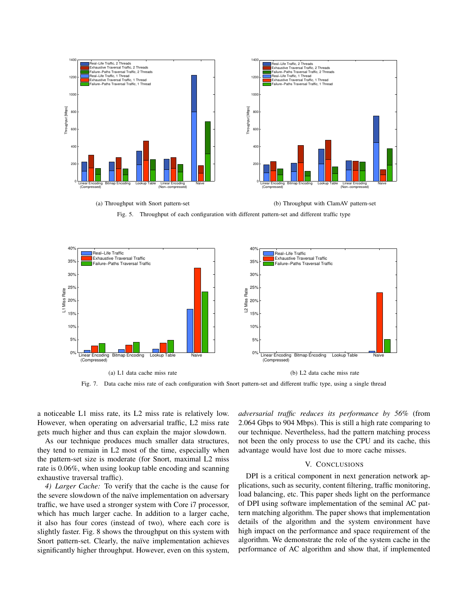

(a) Throughput with Snort pattern-set

(b) Throughput with ClamAV pattern-set

Fig. 5. Throughput of each configuration with different pattern-set and different traffic type



Fig. 7. Data cache miss rate of each configuration with Snort pattern-set and different traffic type, using a single thread

a noticeable L1 miss rate, its L2 miss rate is relatively low. However, when operating on adversarial traffic, L2 miss rate gets much higher and thus can explain the major slowdown.

As our technique produces much smaller data structures, they tend to remain in L2 most of the time, especially when the pattern-set size is moderate (for Snort, maximal L2 miss rate is 0.06%, when using lookup table encoding and scanning exhaustive traversal traffic).

*4) Larger Cache:* To verify that the cache is the cause for the severe slowdown of the naïve implementation on adversary traffic, we have used a stronger system with Core i7 processor, which has much larger cache. In addition to a larger cache, it also has four cores (instead of two), where each core is slightly faster. Fig. 8 shows the throughput on this system with Snort pattern-set. Clearly, the naïve implementation achieves significantly higher throughput. However, even on this system, *adversarial traffic reduces its performance by 56%* (from 2.064 Gbps to 904 Mbps). This is still a high rate comparing to our technique. Nevertheless, had the pattern matching process not been the only process to use the CPU and its cache, this advantage would have lost due to more cache misses.

### V. CONCLUSIONS

DPI is a critical component in next generation network applications, such as security, content filtering, traffic monitoring, load balancing, etc. This paper sheds light on the performance of DPI using software implementation of the seminal AC pattern matching algorithm. The paper shows that implementation details of the algorithm and the system environment have high impact on the performance and space requirement of the algorithm. We demonstrate the role of the system cache in the performance of AC algorithm and show that, if implemented